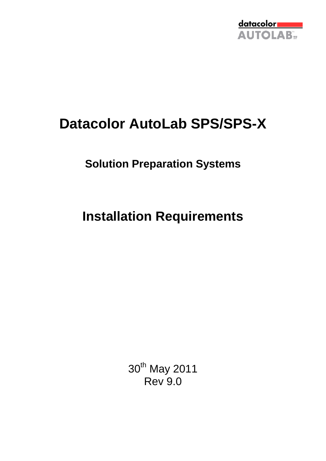

# **Datacolor AutoLab SPS/SPS-X**

## **Solution Preparation Systems**

**Installation Requirements**

30<sup>th</sup> May 2011 Rev 9.0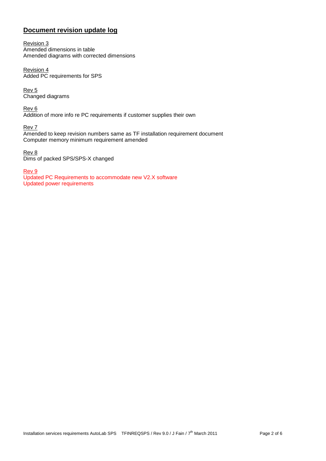## **Document revision update log**

Revision 3 Amended dimensions in table Amended diagrams with corrected dimensions

Revision 4 Added PC requirements for SPS

Rev 5 Changed diagrams

Rev 6 Addition of more info re PC requirements if customer supplies their own

Rev 7

Amended to keep revision numbers same as TF installation requirement document Computer memory minimum requirement amended

Rev 8 Dims of packed SPS/SPS-X changed

Rev 9

Updated PC Requirements to accommodate new V2.X software Updated power requirements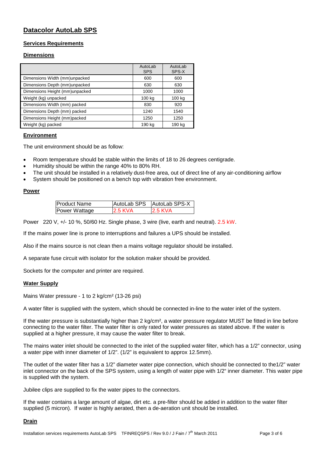## **Datacolor AutoLab SPS**

#### **Services Requirements**

#### **Dimensions**

|                                | AutoLab<br><b>SPS</b> | AutoLab<br>SPS-X |
|--------------------------------|-----------------------|------------------|
| Dimensions Width (mm)unpacked  | 600                   | 600              |
| Dimensions Depth (mm)unpacked  | 630                   | 630              |
| Dimensions Height (mm)unpacked | 1000                  | 1000             |
| Weight (kg) unpacked           | 100 kg                | 100 kg           |
| Dimensions Width (mm) packed   | 830                   | 920              |
| Dimensions Depth (mm) packed   | 1240                  | 1540             |
| Dimensions Height (mm)packed   | 1250                  | 1250             |
| Weight (kg) packed             | 190 kg                | 190 kg           |

#### **Environment**

The unit environment should be as follow:

- Room temperature should be stable within the limits of 18 to 26 degrees centigrade.
- Humidity should be within the range 40% to 80% RH.
- The unit should be installed in a relatively dust-free area, out of direct line of any air-conditioning airflow
- System should be positioned on a bench top with vibration free environment.

#### **Power**

| lProduct Name |                | AutoLab SPS AutoLab SPS-X |
|---------------|----------------|---------------------------|
| Power Wattage | <b>2.5 KVA</b> | <b>2.5 KVA</b>            |

Power 220 V, +/- 10 %, 50/60 Hz. Single phase, 3 wire (live, earth and neutral). 2.5 kW.

If the mains power line is prone to interruptions and failures a UPS should be installed.

Also if the mains source is not clean then a mains voltage regulator should be installed.

A separate fuse circuit with isolator for the solution maker should be provided.

Sockets for the computer and printer are required.

#### **Water Supply**

Mains Water pressure - 1 to 2 kg/cm² (13-26 psi)

A water filter is supplied with the system, which should be connected in-line to the water inlet of the system.

If the water pressure is substantially higher than 2 kg/cm², a water pressure regulator MUST be fitted in line before connecting to the water filter. The water filter is only rated for water pressures as stated above. If the water is supplied at a higher pressure, it may cause the water filter to break.

The mains water inlet should be connected to the inlet of the supplied water filter, which has a 1/2" connector, using a water pipe with inner diameter of 1/2". (1/2" is equivalent to approx 12.5mm).

The outlet of the water filter has a 1/2" diameter water pipe connection, which should be connected to the1/2" water inlet connector on the back of the SPS system, using a length of water pipe with 1/2" inner diameter. This water pipe is supplied with the system.

Jubilee clips are supplied to fix the water pipes to the connectors.

If the water contains a large amount of algae, dirt etc. a pre-filter should be added in addition to the water filter supplied (5 micron). If water is highly aerated, then a de-aeration unit should be installed.

#### **Drain**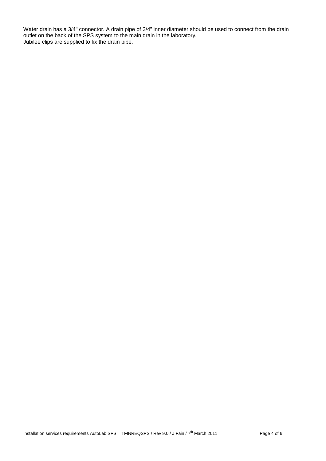Water drain has a 3/4" connector. A drain pipe of 3/4" inner diameter should be used to connect from the drain outlet on the back of the SPS system to the main drain in the laboratory. Jubilee clips are supplied to fix the drain pipe.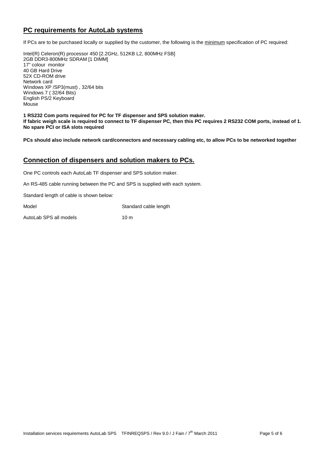## **PC requirements for AutoLab systems**

If PCs are to be purchased locally or supplied by the customer, the following is the minimum specification of PC required:

Intel(R) Celeron(R) processor 450 [2.2GHz, 512KB L2, 800MHz FSB] 2GB DDR3-800MHz SDRAM [1 DIMM] 17" colour monitor 40 GB Hard Drive 52X CD-ROM drive Network card Windows XP /SP3(must) , 32/64 bits Windows 7 ( 32/64 Bits) English PS/2 Keyboard Mouse

**1 RS232 Com ports required for PC for TF dispenser and SPS solution maker. If fabric weigh scale is required to connect to TF dispenser PC, then this PC requires 2 RS232 COM ports, instead of 1. No spare PCI or ISA slots required**

**PCs should also include network card/connectors and necessary cabling etc, to allow PCs to be networked together**

#### **Connection of dispensers and solution makers to PCs.**

One PC controls each AutoLab TF dispenser and SPS solution maker.

An RS-485 cable running between the PC and SPS is supplied with each system.

Standard length of cable is shown below:

Model **Standard cable length** 

AutoLab SPS all models 10 m